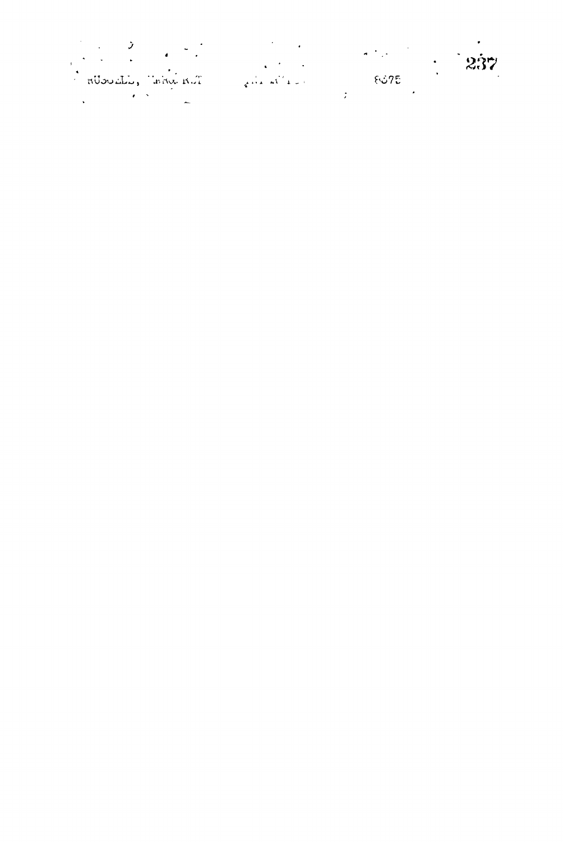|                                        |      | $\bullet$<br>-237 |
|----------------------------------------|------|-------------------|
| Alan into , into R.T.<br>$\mathcal{L}$ | 8375 |                   |
|                                        |      |                   |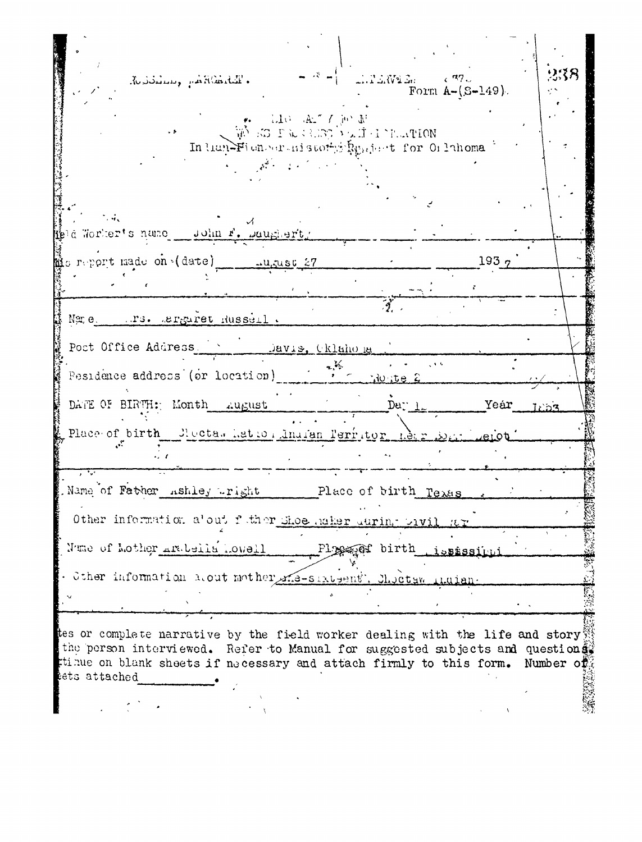$x - 1$  $\triangle$ . The William (R7) Ruddelling J. ARaddill . Form  $A - (S - 149)$ . TTO THE VIOLE ES PARTIN VAILTEMENT In then Figure is subty Repeat for Orlinoma  $\ddot{a}$ pla Worker's name = John F. Daughert, Mis report made on (date)  $193<sub>2</sub>$ ⇒ugust 27 Name. . . rs. arguret Russell. Post Office Address Davis, Oklahona  $\sqrt{6}$ Pesidence address (or location) Nonte 2 DATE OF BIRTH: Month August Der  $1$ Yeár Place of birth Cloctas Latto Analan Perritor Name of Father ashley right Place of birth Texas Other information alout future Shoe maker during prvi Nume of Mother Arabells Lowell Plage birth *Lississitui* . Sther information nout mother me-sixtent. Checks thuism. tes or complete narrative by the field worker dealing with the life and story the person interviewed. Refer to Manual for suggested subjects and question  $\hat{e}$ tinue on blank sheets if necessary and attach firmly to this form. Number of tets attached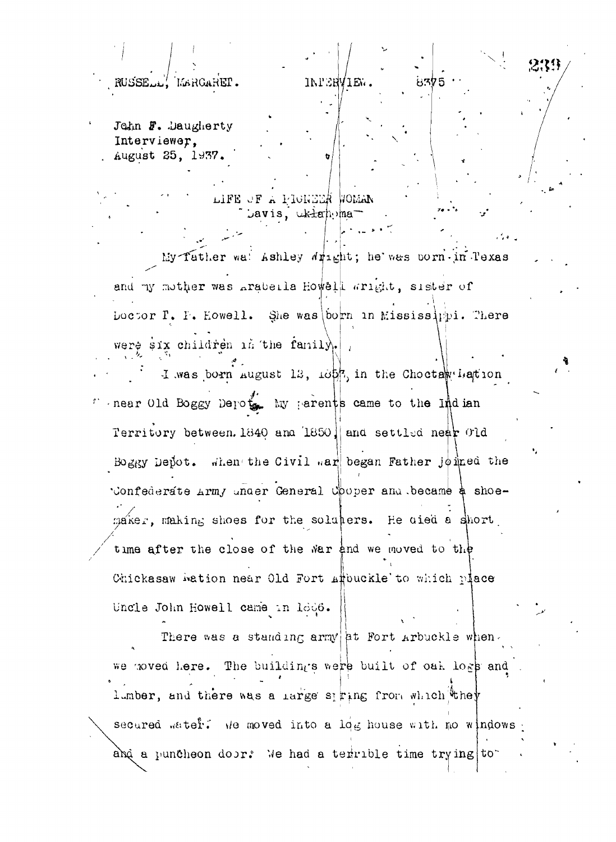John F. Daugherty Interviewer. August 25, 1937.

RUSSELL, MARGARET.

LIFE OF A PRONEZE WOMAN Javis, ukłanoma

My father wal Ashley Wright; he was born in Texas and my mother was arabella Howell wright, sister of Loctor T. F. Howell. She was born in Mississ ppi. There were  $\sin x$  children in the family.

**INFERVIEW** 

8375

I was born august 13,  $\omega_{\mathbb{R}}$  in the Chocta viation near Old Boggy Depoth My parents came to the Indian Territory between. 1840 and 1850 and settled near Old Boggy Depot. when the Civil war began Father joined the Confederate Army under General Cooper and became a shoemaker, making shoes for the soluters. He died a short time after the close of the war and we moved to the Chickasaw wation near Old Fort affouckle to which place Uncle John Howell came in loo6.

There was a standing army at Fort Arbuckle when. we moved here. The buildings were built of oak logs and lumber, and there was a large spring from which they secured water. We moved into a log house with no windows and a puncheon door. We had a terrible time trying to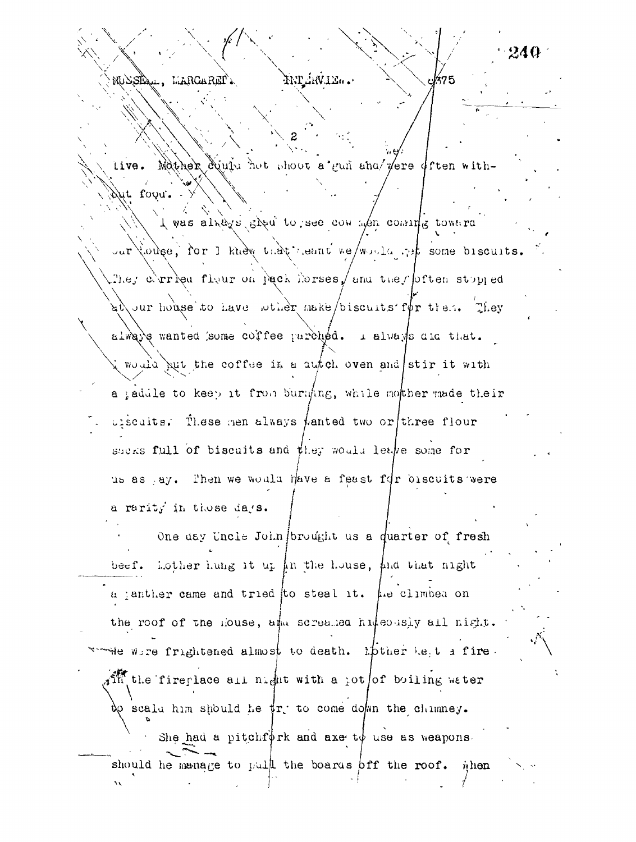live. Mother equit not shoot a gun ana/vere often with-Dut foou. I was alrays show to see con wen commits toward our touse, for I knew that neant we/would get some biscuits. They corresponding on pack horses, and they often stopped  $a\rightarrow a$  and  $b\rightarrow b$  are denoted the make  $\rightarrow b$  and  $\rightarrow b$  and  $\rightarrow b$  and  $\rightarrow b$  and  $\rightarrow b$  are  $\rightarrow b$  and  $\rightarrow b$  are  $\rightarrow b$  and  $\rightarrow b$  are  $\rightarrow b$  and  $\rightarrow b$  are  $\rightarrow b$  and  $\rightarrow b$  are  $\rightarrow b$  and  $\rightarrow b$  are  $\rightarrow b$  and  $\rightarrow b$  are  $\rightarrow b$  and  $\$ always wanted some coffee parched. I always all that. ; would put the coffee it a autch oven and stir it with a saddle to keep it from burning, while mother made their  $i$  iscuits. These nem always *fanted* two or three flour shers full of biscuits and they would leave some for us as ay. Then we would have a feast for biscuits were a rarity in those days. One day Uncle John brought us a quarter of fresh beef. Lother hung it up in the house, and that night

WELVALIA.

NUSSIQUE, L'ARGARET .

240-

375

a janther came and tried to steal it.  $\mu$ e climbed on the roof of the House, and screaked hudeously all night. whe wire frightened almost to death. Mother Let a fire. An the fireplace all night with a jot of boiling water  $\infty$  scald him should he  $\sharp r$  to come down the chimney. She had a pitchf $\oint$ rk and axe t $\oint$  use as weapons.

should be manage to pull the boards off the roof. when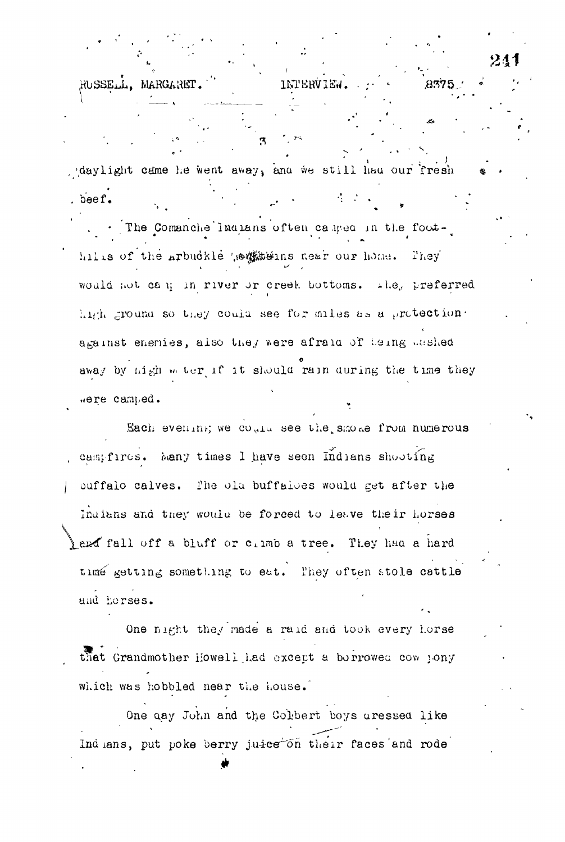daylight came he went away, and we still had our fresh . beef.  $\mathcal{L} = \mathcal{L}$ . The Comanche Indians often camed in the foothills of the Arbuckle weaterns near our home. They would not can in river or creek bottoms. The, preferred high ground so they could see for miles as a protection. against enemies, also they were afraid of being washed away by high weter if it should rain during the time they were camped.

**INTERVIEW** 

RUSSELL.

MARGARET

Each evening we could see the smoke from numerous campfires. Many times I have seen Indians shooting ouffalo calves. The ola buffaloes would get after the Indians and they would be forced to leave their horses and fall off a bluff or cimb a tree. They had a hard time getting something to eat. They often stole cattle und horses.

One night they made a raid and took every horse that Grandmother Howell had except a borrowed cow jony which was hobbled near the house.

One day John and the Colbert boys uressed like Indians, put poke berry juice on their faces and rode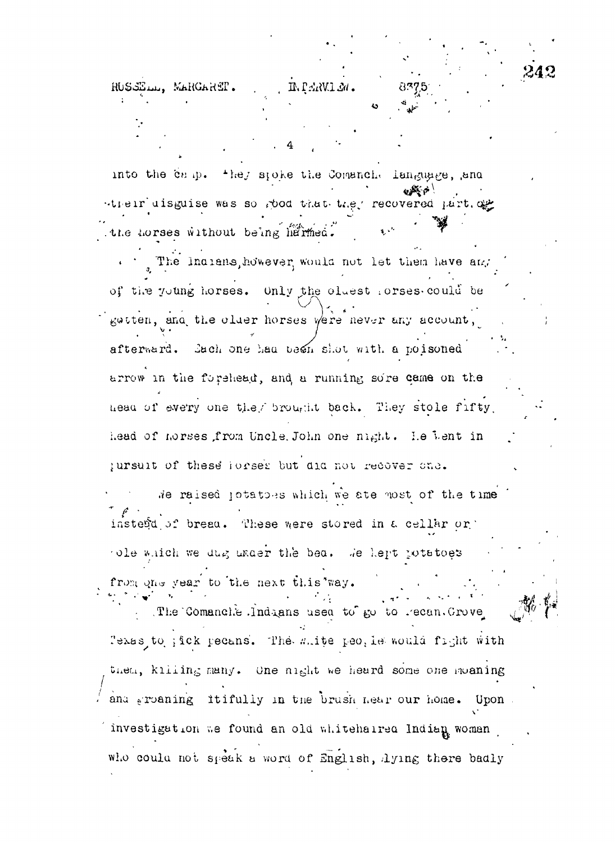RUSSELL, MARGARET. IN PERVIEW. into the camp. They spoke the Comanche language, and their uisguise was so rood that they recovered part of the horses without being harmed. The Indians, however, would not let them have and of the young horses. Only the cluest forses could be getten, and the older horses were never any account, afterward. Bach one had been shot with a poisoned arrow in the forehead, and a running sore came on the head of every one they brought back. They stole fifty, head of horses from Uncle. John one night. Le bent in pursuit of these forses but did not recover one. We raised jotaties which we are most of the time insterd of bread. These were stored in a cellar or ole which we dug under the bea. We hept potatoes from one year to the next this way. The Comanche Indians used to go to recan. Grove lexas to ; ick pecans. The mite peo, is would fight with then, kliling many. One night we heard some one moaning and groaning itifully in the brush hear our home. Upon investigation we found an old whitehalred Indian woman who could not speak a word of English, lying there badly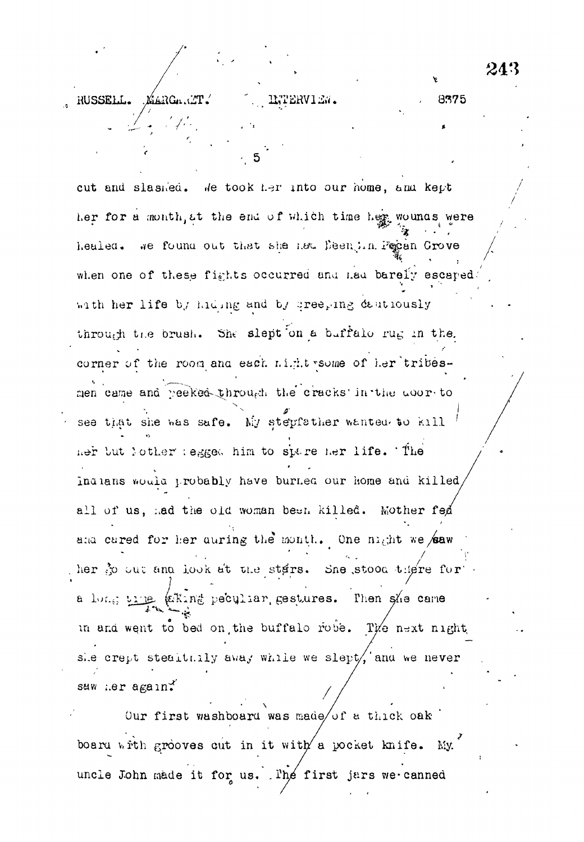8375

RUSSELL. MARGARIT.

cut and slassed. We took her into our home, and kept her for a month, at the end of which time her wounds were healed. We found out that she new Deen, in Pepen Grove when one of these fights occurred and nad barely escaped. with her life by hiding and by creeging deutiously through the brush. She slept on a buffalo rug in the. corner of the room and each night some of her tribesmen came and peeked through the cracks in the door to see that she was safe. My stepfather wanted to kill ner but lother regged him to spare her life. The Indians would probably have burned our home and killed all of us, had the old woman been killed. Mother fed and cared for her during the month. One might we saw ther  $\mathfrak F$  out and look at the stars. She stood there for a long time whing peculiar gestures. Then she came in and went to bed on the buffalo robe. The next night she crept stealthily away while we slept/, and we never suw ner again\*

INTERVIEW.

Our first washboard was made/of a thick oak board with grooves cut in it with a pocket knife. My. uncle John made it for us. The first jars we canned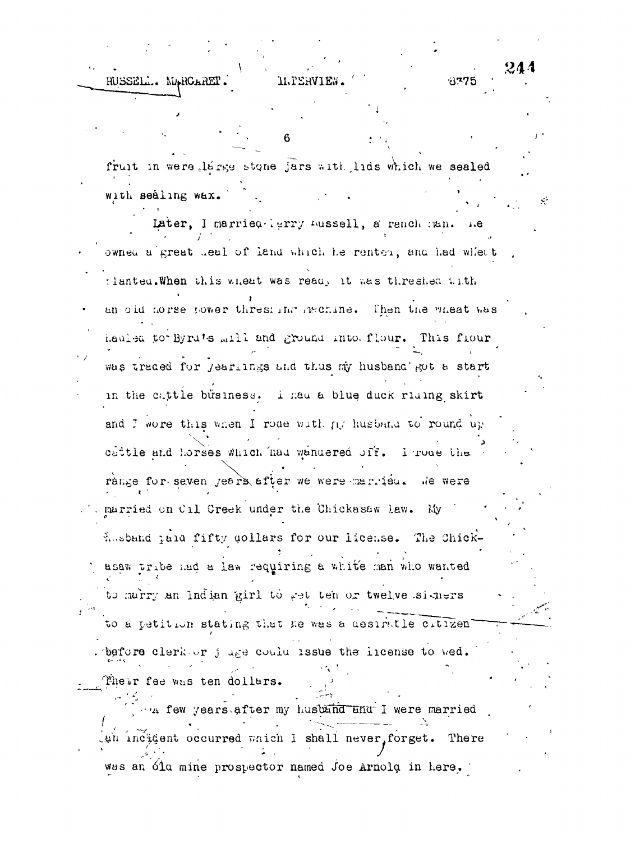244 RUSSELL. MARCARET **II.PERVIEW** 8775 6 fruit in were large stone jars with lids which we sealed

 $\mathcal{N}$ 

with sealing wax. Later, I married lerry mussell, a ranch man. owned a great deal of land which he rented, and had whent tlanted. When this wheat was ready it was threshed with an old horse power threshold invenine. Then the wheat was hauled to Byru's mill and ground into flour. This flour was traded for jearlings and thus my husband got a start in the cattle business. I had a blue duck riding skirt and I wore this when I rode with ny husband to round up cattle and horses which had wandered off. I roue the range for seven jears after we were married. We were . married on Cil Creek under the Chickasaw law. My Lusband tala fifty gollars for our license. The Chickasaw tribe had a law requiring a white man who wanted to marry an Indian girl to get ten or twelve signers to a petition stating that he was a desiratle citizen'

. before clerk or juge could issue the incense to wed. Their fee was ten dollars.

The few years after my husband and I were married Lun incident occurred which I shall never, forget. There was an óin mine prospector named Joe Arnold in here.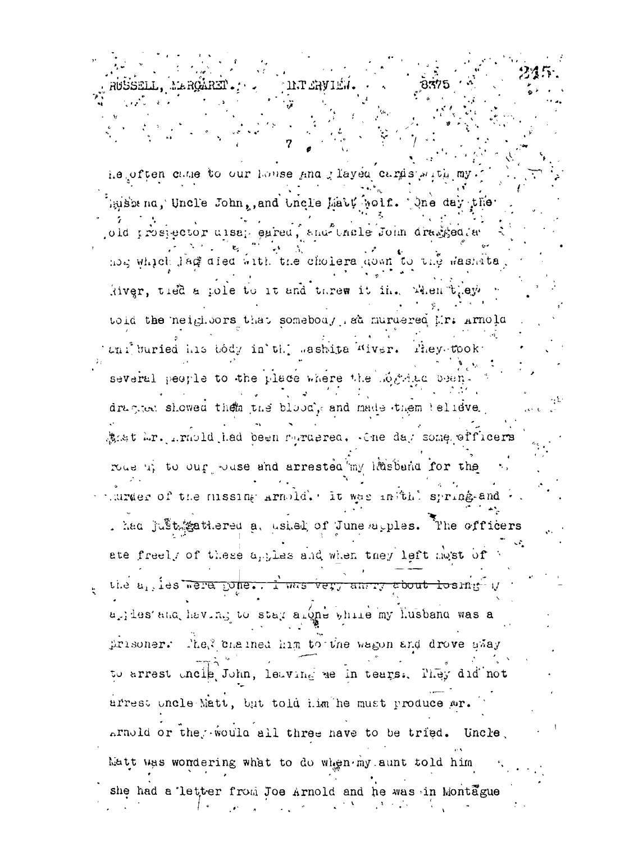INT SAVIET he often came to our house and layed cards with my hushena, Uncle John, and Uncle Matt wolf. Ane day the old prospector ulsap eared, and thele John dragged a not which large aled with the choiera gown to the washata River, tied a pole to it and threw it in. When they toid the neighbors that someboas, sa nuraered Mr. Arnola ani buried his body in the mashita Miver. Phey-took several people to the place where the mogetia been dragger showed them the blood, and made them telieve. Anst Mr. Armold had been maragrea. Che day some efficers rous up to our souse and arrested my liteband for the under of the missing armold. It was inithit spring-and . had justificationed a, ushed of June apples. The officers ate freely of these apples and when they left most of the a<sub>rties</sub> were pone. I was very among sbout losing y urites and having to star alone while my Lusband was a prisoner. The, chained him to the wagon and drove gway to arrest uncip John, leaving we in tears. They did not arrest uncle Matt, but told him he must produce wr. arnold or the would all three have to be tried. Uncle, Matt was wondering what to do when my aunt told him she had a letter from Joe Arnold and he was in Montague